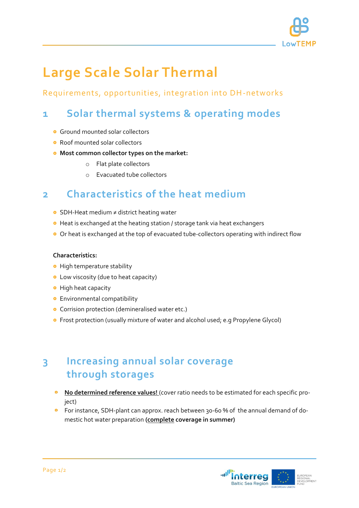

# **Large Scale Solar Thermal**

### Requirements, opportunities, integration into DH -networks

## **1 Solar thermal systems & operating modes**

- **G** Ground mounted solar collectors
- Roof mounted solar collectors
- **Most common collector types on the market:**
	- o Flat plate collectors
	- o Evacuated tube collectors

### **2 Characteristics of the heat medium**

- SDH-Heat medium ≠ district heating water
- Heat is exchanged at the heating station / storage tank via heat exchangers
- Or heat is exchanged at the top of evacuated tube-collectors operating with indirect flow

#### **Characteristics:**

- **•** High temperature stability
- Low viscosity (due to heat capacity)
- **•** High heat capacity
- **•** Environmental compatibility
- **•** Corrision protection (demineralised water etc.)
- Frost protection (usually mixture of water and alcohol used; e.g Propylene Glycol)

### **3 Increasing annual solar coverage through storages**

- **No determined reference values!** (cover ratio needs to be estimated for each specific project)
- **•** For instance, SDH-plant can approx. reach between 30-60 % of the annual demand of domestic hot water preparation **(complete coverage in summer)**